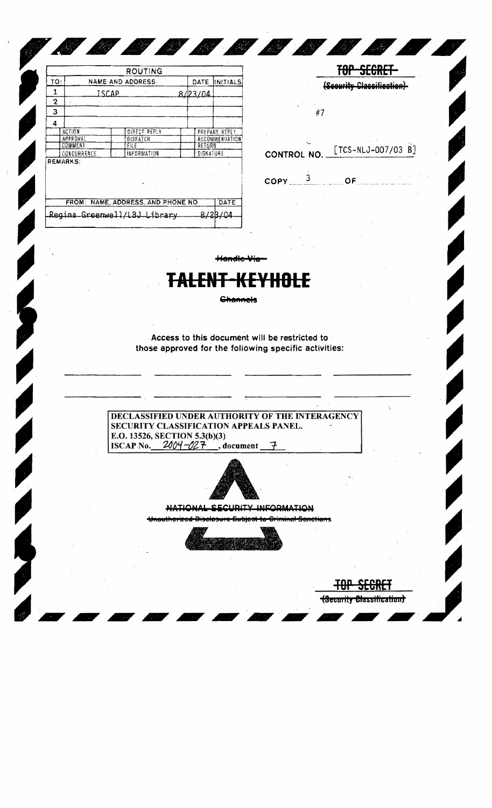|     |                              |       | ROUTING                            |           |                       |
|-----|------------------------------|-------|------------------------------------|-----------|-----------------------|
| TO: |                              |       | <b>NAME AND ADDRESS</b>            | DATE      | <b>INITIALS</b>       |
| 1   |                              | ISCAP |                                    | 8/123/04  |                       |
| 2   | ż                            |       |                                    |           |                       |
| 3   |                              |       |                                    |           |                       |
| 4   |                              |       |                                    |           |                       |
|     | ACTION                       |       | <b>DIRECT REPLY</b>                |           | PREPARE REPLY         |
|     | <b>APPROVAL</b>              |       | DISPATCH                           |           | <b>RECOMMENDATION</b> |
|     | COMMENT                      |       | <b>FILE</b>                        | RETURN    |                       |
|     | CONCURRENCE                  |       | INFORMATION                        | SIGNATURE |                       |
|     | <b>REMARKS:</b>              |       |                                    |           |                       |
|     |                              |       | FROM: NAME, ADDRESS, AND PHONE NO. |           | DATE                  |
|     | Regina Greenwell/LBJ Library |       |                                    |           |                       |

|                                                         | (Security Classification)                         |  |  |  |  |  |  |
|---------------------------------------------------------|---------------------------------------------------|--|--|--|--|--|--|
| $\frac{1}{2}$                                           |                                                   |  |  |  |  |  |  |
|                                                         | CONTROL NO. [TCS-NLJ-007/03 B]                    |  |  |  |  |  |  |
| $\mathsf{COPY} \equiv \frac{3}{2} \pmod{ \mathsf{OF} }$ | المناسبة.<br>- المستحدة الصديقة المستحدة المستحدة |  |  |  |  |  |  |

**All Contracts** 

TOP SEGRET

Handle-Via-

 $\ddot{\mathbf{C}}$ 

*SSSSPPP*I.

## T<del>ALENT-KEYHOLE</del>

**Channels** 

Access to this document will be restricted to those approved for the following specific activities:

**DECLASSIFIED UNDER AUTHORITY OF THE INTERAGENCY** SECURITY CLASSIFICATION APPEALS PANEL. E.O. 13526, SECTION 5.3(b)(3) ISCAP No.  $2004 - 027$ , document  $\mathcal{F}$ 



NATIONAL SECURITY INFORMATION

<del>drinning I</del>



<del>-181</del>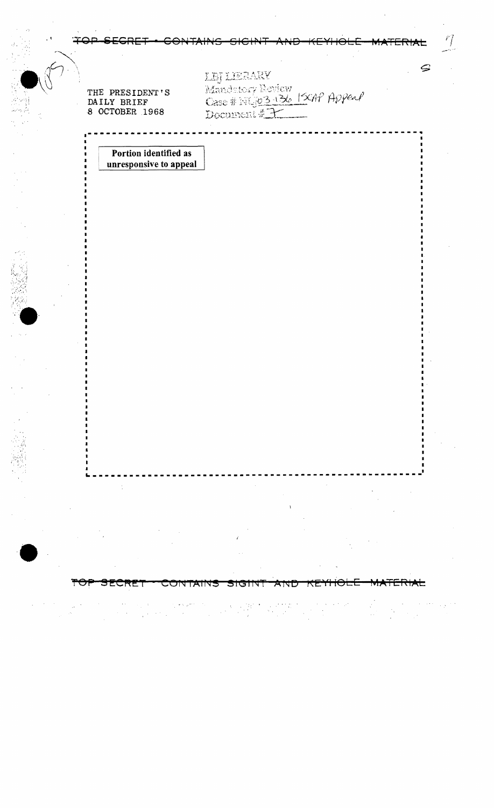| THE PRESIDENT'S<br>DAILY BRIEF<br>8 OCTOBER 1968 | LEJ LIERAKY<br>Mandetory Beview<br>Case # 14503-136  SCAP Appeal<br>Document # 7 | S |
|--------------------------------------------------|----------------------------------------------------------------------------------|---|
| Portion identified as<br>unresponsive to appeal  |                                                                                  |   |
|                                                  |                                                                                  |   |
|                                                  |                                                                                  |   |
|                                                  |                                                                                  |   |
|                                                  |                                                                                  |   |
|                                                  |                                                                                  |   |
|                                                  |                                                                                  |   |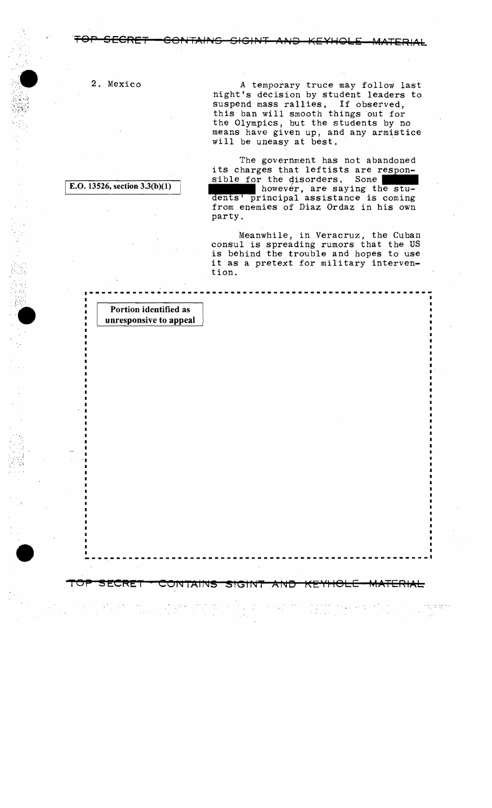TOP SECRET CONTAINS SIGINT AND KEYHOLE MATERIAL

TOP SECRET \* CONTAINS SIGINT AND KEYHOLE MATERIAL

 $\mathcal{L}^{\mathcal{A}}$  ,  $\mathcal{L}$ 

2. Mexico

 $\mathcal{S}_{\mathcal{A}}$  ,

,",

 $\cdot$  .  $\cdot$  .

•

A temporary truce may follow last night's decision by student leaders to suspend mass rallies. If observed, this ban will smooth things out for the Olympics, but the students by no means have given up, and any armistice will be uneasy at best.

The government has not abandoned its charges that leftists are respon-<br>sible for the disorders. Some however, are saying the stu-<br>dents' principal assistance is coming from enemies of Diaz Ordaz in his own party,

Meanwhile, in Veracruz, the Cuban consul is spreading rumors that the US is behind the trouble and hopes to use it as a pretext for military intervention.

g ingeri

Portion identified as unresponsive to appeal

E.O. 13526, section  $3.3(b)(1)$